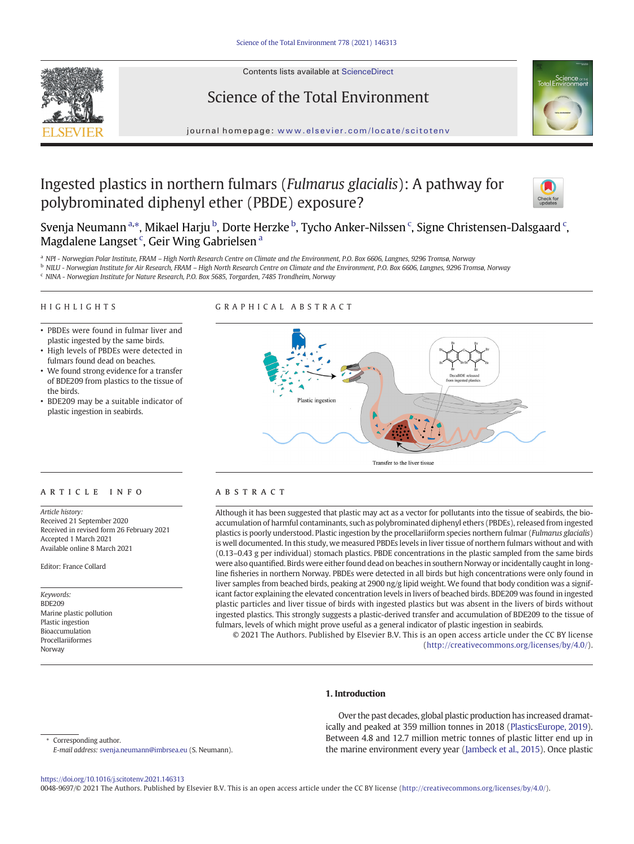Contents lists available at ScienceDirect







journal homepage: <www.elsevier.com/locate/scitotenv>

# Ingested plastics in northern fulmars (Fulmarus glacialis): A pathway for polybrominated diphenyl ether (PBDE) exposure?



Svenja Neumann <sup>a,</sup>\*, Mikael Harju <sup>b</sup>, Dorte Herzke <sup>b</sup>, Tycho Anker-Nilssen <sup>c</sup>, Signe Christensen-Dalsgaard <sup>c</sup>, Magdalene Langset<sup>c</sup>, Geir Wing Gabrielsen<sup>a</sup>

a NPI - Norwegian Polar Institute, FRAM - High North Research Centre on Climate and the Environment, P.O. Box 6606, Langnes, 9296 Tromsø, Norway

<sup>b</sup> NILU - Norwegian Institute for Air Research, FRAM – High North Research Centre on Climate and the Environment, P.O. Box 6606, Langnes, 9296 Tromsø, Norway

<sup>c</sup> NINA - Norwegian Institute for Nature Research, P.O. Box 5685, Torgarden, 7485 Trondheim, Norway

# HIGHLIGHTS

# GRAPHICAL ABSTRACT

- PBDEs were found in fulmar liver and plastic ingested by the same birds.
- High levels of PBDEs were detected in fulmars found dead on beaches.
- We found strong evidence for a transfer of BDE209 from plastics to the tissue of the birds.
- BDE209 may be a suitable indicator of plastic ingestion in seabirds.



# article info abstract

Article history: Received 21 September 2020 Received in revised form 26 February 2021 Accepted 1 March 2021 Available online 8 March 2021

Editor: France Collard

Keywords: BDE209 Marine plastic pollution Plastic ingestion Bioaccumulation Procellariiformes Norway

Although it has been suggested that plastic may act as a vector for pollutants into the tissue of seabirds, the bioaccumulation of harmful contaminants, such as polybrominated diphenyl ethers (PBDEs), released from ingested plastics is poorly understood. Plastic ingestion by the procellariiform species northern fulmar (Fulmarus glacialis) is well documented. In this study, we measured PBDEs levels in liver tissue of northern fulmars without and with (0.13–0.43 g per individual) stomach plastics. PBDE concentrations in the plastic sampled from the same birds were also quantified. Birds were either found dead on beaches in southern Norway or incidentally caught in longline fisheries in northern Norway. PBDEs were detected in all birds but high concentrations were only found in liver samples from beached birds, peaking at 2900 ng/g lipid weight. We found that body condition was a significant factor explaining the elevated concentration levels in livers of beached birds. BDE209 was found in ingested plastic particles and liver tissue of birds with ingested plastics but was absent in the livers of birds without ingested plastics. This strongly suggests a plastic-derived transfer and accumulation of BDE209 to the tissue of fulmars, levels of which might prove useful as a general indicator of plastic ingestion in seabirds.

© 2021 The Authors. Published by Elsevier B.V. This is an open access article under the CC BY license (<http://creativecommons.org/licenses/by/4.0/>).

# 1. Introduction

Over the past decades, global plastic production has increased dramatically and peaked at 359 million tonnes in 2018 ([PlasticsEurope, 2019\)](#page-9-0). Between 4.8 and 12.7 million metric tonnes of plastic litter end up in the marine environment every year [\(Jambeck et al., 2015](#page-9-0)). Once plastic

Corresponding author. E-mail address: [svenja.neumann@imbrsea.eu](mailto:svenja.neumann@imbrsea.eu) (S. Neumann).

<https://doi.org/10.1016/j.scitotenv.2021.146313>

0048-9697/© 2021 The Authors. Published by Elsevier B.V. This is an open access article under the CC BY license ([http://creativecommons.org/licenses/by/4.0/\)](http://creativecommons.org/licenses/by/4.0/).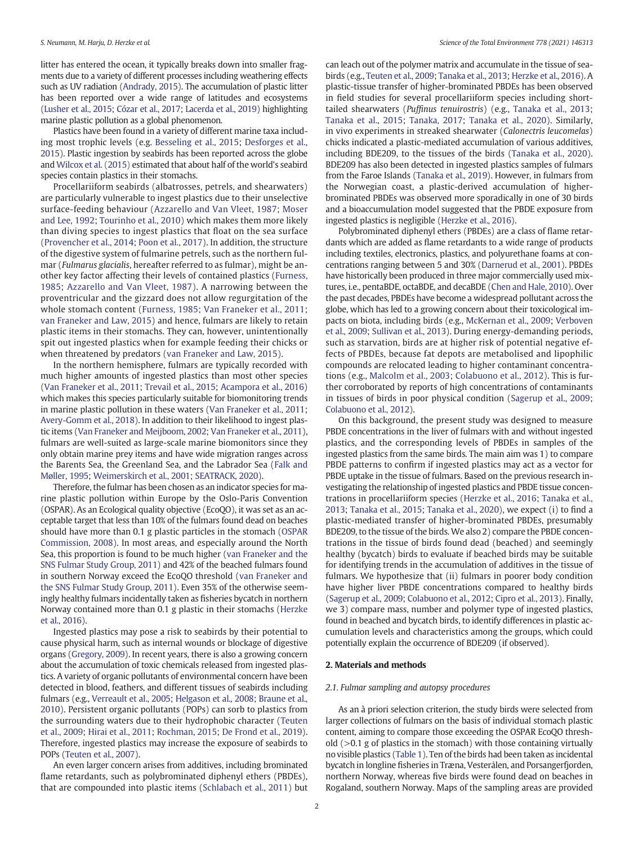litter has entered the ocean, it typically breaks down into smaller fragments due to a variety of different processes including weathering effects such as UV radiation ([Andrady, 2015](#page-8-0)). The accumulation of plastic litter has been reported over a wide range of latitudes and ecosystems [\(Lusher et al., 2015;](#page-9-0) [Cózar et al., 2017;](#page-8-0) [Lacerda et al., 2019](#page-9-0)) highlighting marine plastic pollution as a global phenomenon.

Plastics have been found in a variety of different marine taxa including most trophic levels (e.g. [Besseling et al., 2015;](#page-8-0) [Desforges et al.,](#page-8-0) [2015](#page-8-0)). Plastic ingestion by seabirds has been reported across the globe and [Wilcox et al. \(2015\)](#page-10-0) estimated that about half of the world's seabird species contain plastics in their stomachs.

Procellariiform seabirds (albatrosses, petrels, and shearwaters) are particularly vulnerable to ingest plastics due to their unselective surface-feeding behaviour ([Azzarello and Van Vleet, 1987](#page-8-0); [Moser](#page-9-0) [and Lee, 1992;](#page-9-0) [Tourinho et al., 2010\)](#page-10-0) which makes them more likely than diving species to ingest plastics that float on the sea surface ([Provencher et al., 2014;](#page-9-0) [Poon et al., 2017](#page-9-0)). In addition, the structure of the digestive system of fulmarine petrels, such as the northern fulmar (Fulmarus glacialis, hereafter referred to as fulmar), might be another key factor affecting their levels of contained plastics ([Furness,](#page-9-0) [1985](#page-9-0); [Azzarello and Van Vleet, 1987\)](#page-8-0). A narrowing between the proventricular and the gizzard does not allow regurgitation of the whole stomach content ([Furness, 1985](#page-9-0); [Van Franeker et al., 2011](#page-10-0); [van Franeker and Law, 2015](#page-9-0)) and hence, fulmars are likely to retain plastic items in their stomachs. They can, however, unintentionally spit out ingested plastics when for example feeding their chicks or when threatened by predators ([van Franeker and Law, 2015\)](#page-9-0).

In the northern hemisphere, fulmars are typically recorded with much higher amounts of ingested plastics than most other species ([Van Franeker et al., 2011](#page-10-0); [Trevail et al., 2015;](#page-10-0) [Acampora et al., 2016\)](#page-8-0) which makes this species particularly suitable for biomonitoring trends in marine plastic pollution in these waters ([Van Franeker et al., 2011](#page-10-0); [Avery-Gomm et al., 2018](#page-8-0)). In addition to their likelihood to ingest plastic items [\(Van Franeker and Meijboom, 2002;](#page-10-0) [Van Franeker et al., 2011\)](#page-10-0), fulmars are well-suited as large-scale marine biomonitors since they only obtain marine prey items and have wide migration ranges across the Barents Sea, the Greenland Sea, and the Labrador Sea ([Falk and](#page-8-0) [Møller, 1995](#page-8-0); [Weimerskirch et al., 2001;](#page-10-0) [SEATRACK, 2020\)](#page-9-0).

Therefore, the fulmar has been chosen as an indicator species for marine plastic pollution within Europe by the Oslo-Paris Convention (OSPAR). As an Ecological quality objective (EcoQO), it was set as an acceptable target that less than 10% of the fulmars found dead on beaches should have more than 0.1 g plastic particles in the stomach ([OSPAR](#page-9-0) [Commission, 2008](#page-9-0)). In most areas, and especially around the North Sea, this proportion is found to be much higher [\(van Franeker and the](#page-9-0) [SNS Fulmar Study Group, 2011\)](#page-9-0) and 42% of the beached fulmars found in southern Norway exceed the EcoQO threshold ([van Franeker and](#page-9-0) [the SNS Fulmar Study Group, 2011\)](#page-9-0). Even 35% of the otherwise seemingly healthy fulmars incidentally taken as fisheries bycatch in northern Norway contained more than 0.1 g plastic in their stomachs [\(Herzke](#page-9-0) [et al., 2016\)](#page-9-0).

Ingested plastics may pose a risk to seabirds by their potential to cause physical harm, such as internal wounds or blockage of digestive organs [\(Gregory, 2009](#page-9-0)). In recent years, there is also a growing concern about the accumulation of toxic chemicals released from ingested plastics. A variety of organic pollutants of environmental concern have been detected in blood, feathers, and different tissues of seabirds including fulmars (e.g., [Verreault et al., 2005](#page-10-0); [Helgason et al., 2008](#page-9-0); [Braune et al.,](#page-8-0) [2010](#page-8-0)). Persistent organic pollutants (POPs) can sorb to plastics from the surrounding waters due to their hydrophobic character ([Teuten](#page-10-0) [et al., 2009;](#page-10-0) [Hirai et al., 2011;](#page-9-0) [Rochman, 2015;](#page-9-0) [De Frond et al., 2019\)](#page-8-0). Therefore, ingested plastics may increase the exposure of seabirds to POPs [\(Teuten et al., 2007\)](#page-10-0).

An even larger concern arises from additives, including brominated flame retardants, such as polybrominated diphenyl ethers (PBDEs), that are compounded into plastic items ([Schlabach et al., 2011\)](#page-9-0) but can leach out of the polymer matrix and accumulate in the tissue of seabirds (e.g., [Teuten et al., 2009;](#page-10-0) [Tanaka et al., 2013;](#page-10-0) [Herzke et al., 2016](#page-9-0)). A plastic-tissue transfer of higher-brominated PBDEs has been observed in field studies for several procellariiform species including shorttailed shearwaters (Puffinus tenuirostris) (e.g., [Tanaka et al., 2013](#page-10-0); [Tanaka et al., 2015;](#page-10-0) [Tanaka, 2017;](#page-10-0) [Tanaka et al., 2020\)](#page-10-0). Similarly, in vivo experiments in streaked shearwater (Calonectris leucomelas) chicks indicated a plastic-mediated accumulation of various additives, including BDE209, to the tissues of the birds ([Tanaka et al., 2020\)](#page-10-0). BDE209 has also been detected in ingested plastics samples of fulmars from the Faroe Islands [\(Tanaka et al., 2019\)](#page-10-0). However, in fulmars from the Norwegian coast, a plastic-derived accumulation of higherbrominated PBDEs was observed more sporadically in one of 30 birds and a bioaccumulation model suggested that the PBDE exposure from ingested plastics is negligible [\(Herzke et al., 2016](#page-9-0)).

Polybrominated diphenyl ethers (PBDEs) are a class of flame retardants which are added as flame retardants to a wide range of products including textiles, electronics, plastics, and polyurethane foams at concentrations ranging between 5 and 30% [\(Darnerud et al., 2001](#page-8-0)). PBDEs have historically been produced in three major commercially used mixtures, i.e., pentaBDE, octaBDE, and decaBDE ([Chen and Hale, 2010](#page-8-0)). Over the past decades, PBDEs have become a widespread pollutant across the globe, which has led to a growing concern about their toxicological impacts on biota, including birds (e.g., [McKernan et al., 2009](#page-9-0); [Verboven](#page-10-0) [et al., 2009;](#page-10-0) [Sullivan et al., 2013](#page-10-0)). During energy-demanding periods, such as starvation, birds are at higher risk of potential negative effects of PBDEs, because fat depots are metabolised and lipophilic compounds are relocated leading to higher contaminant concentrations (e.g., [Malcolm et al., 2003;](#page-9-0) [Colabuono et al., 2012\)](#page-8-0). This is further corroborated by reports of high concentrations of contaminants in tissues of birds in poor physical condition [\(Sagerup et al., 2009](#page-9-0); [Colabuono et al., 2012\)](#page-8-0).

On this background, the present study was designed to measure PBDE concentrations in the liver of fulmars with and without ingested plastics, and the corresponding levels of PBDEs in samples of the ingested plastics from the same birds. The main aim was 1) to compare PBDE patterns to confirm if ingested plastics may act as a vector for PBDE uptake in the tissue of fulmars. Based on the previous research investigating the relationship of ingested plastics and PBDE tissue concentrations in procellariiform species ([Herzke et al., 2016](#page-9-0); [Tanaka et al.,](#page-10-0) [2013](#page-10-0); [Tanaka et al., 2015;](#page-10-0) [Tanaka et al., 2020\)](#page-10-0), we expect (i) to find a plastic-mediated transfer of higher-brominated PBDEs, presumably BDE209, to the tissue of the birds. We also 2) compare the PBDE concentrations in the tissue of birds found dead (beached) and seemingly healthy (bycatch) birds to evaluate if beached birds may be suitable for identifying trends in the accumulation of additives in the tissue of fulmars. We hypothesize that (ii) fulmars in poorer body condition have higher liver PBDE concentrations compared to healthy birds ([Sagerup et al., 2009](#page-9-0); [Colabuono et al., 2012](#page-8-0); [Cipro et al., 2013\)](#page-8-0). Finally, we 3) compare mass, number and polymer type of ingested plastics, found in beached and bycatch birds, to identify differences in plastic accumulation levels and characteristics among the groups, which could potentially explain the occurrence of BDE209 (if observed).

### 2. Materials and methods

#### 2.1. Fulmar sampling and autopsy procedures

As an à priori selection criterion, the study birds were selected from larger collections of fulmars on the basis of individual stomach plastic content, aiming to compare those exceeding the OSPAR EcoQO threshold  $(>0.1$  g of plastics in the stomach) with those containing virtually no visible plastics [\(Table 1\)](#page-2-0). Ten of the birds had been taken as incidental bycatch in longline fisheries in Træna, Vesterålen, and Porsangerfjorden, northern Norway, whereas five birds were found dead on beaches in Rogaland, southern Norway. Maps of the sampling areas are provided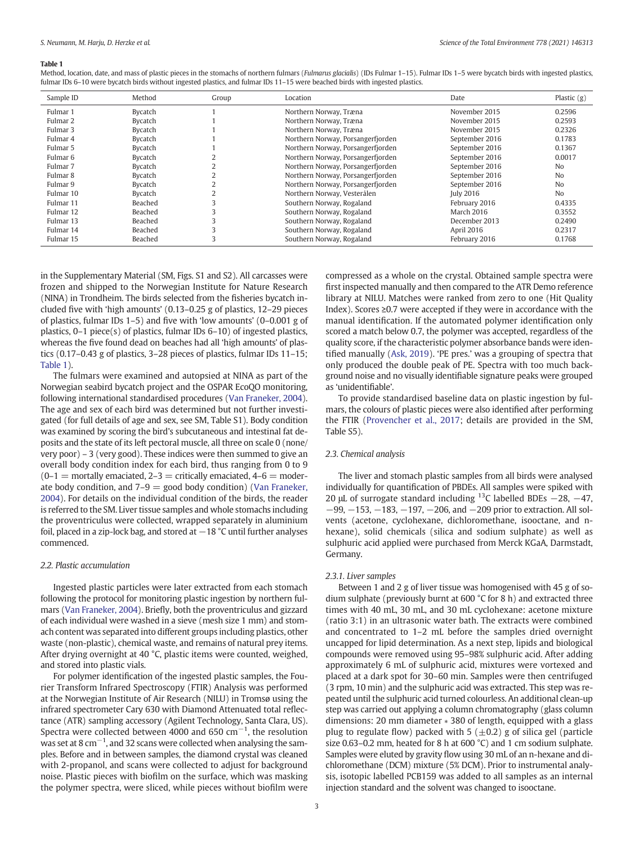#### <span id="page-2-0"></span>Table 1

Method, location, date, and mass of plastic pieces in the stomachs of northern fulmars (Fulmarus glacialis) (IDs Fulmar 1-15). Fulmar IDs 1-5 were bycatch birds with ingested plastics, fulmar IDs 6–10 were bycatch birds without ingested plastics, and fulmar IDs 11–15 were beached birds with ingested plastics.

| Sample ID           | Method  | Group | Location                          | Date             | Plastic $(g)$  |
|---------------------|---------|-------|-----------------------------------|------------------|----------------|
| Fulmar 1            | Bycatch |       | Northern Norway, Træna            | November 2015    | 0.2596         |
| Fulmar <sub>2</sub> | Bycatch |       | Northern Norway, Træna            | November 2015    | 0.2593         |
| Fulmar 3            | Bycatch |       | Northern Norway, Træna            | November 2015    | 0.2326         |
| Fulmar 4            | Bycatch |       | Northern Norway, Porsangerfjorden | September 2016   | 0.1783         |
| Fulmar 5            | Bycatch |       | Northern Norway, Porsangerfjorden | September 2016   | 0.1367         |
| Fulmar 6            | Bycatch |       | Northern Norway, Porsangerfjorden | September 2016   | 0.0017         |
| Fulmar <sub>7</sub> | Bycatch |       | Northern Norway, Porsangerfjorden | September 2016   | N <sub>0</sub> |
| Fulmar 8            | Bycatch |       | Northern Norway, Porsangerfjorden | September 2016   | N <sub>0</sub> |
| Fulmar 9            | Bycatch |       | Northern Norway, Porsangerfjorden | September 2016   | N <sub>0</sub> |
| Fulmar 10           | Bycatch |       | Northern Norway, Vesterålen       | <b>July 2016</b> | N <sub>0</sub> |
| Fulmar 11           | Beached |       | Southern Norway, Rogaland         | February 2016    | 0.4335         |
| Fulmar 12           | Beached |       | Southern Norway, Rogaland         | March 2016       | 0.3552         |
| Fulmar 13           | Beached |       | Southern Norway, Rogaland         | December 2013    | 0.2490         |
| Fulmar 14           | Beached |       | Southern Norway, Rogaland         | April 2016       | 0.2317         |
| Fulmar 15           | Beached |       | Southern Norway, Rogaland         | February 2016    | 0.1768         |

in the Supplementary Material (SM, Figs. S1 and S2). All carcasses were frozen and shipped to the Norwegian Institute for Nature Research (NINA) in Trondheim. The birds selected from the fisheries bycatch included five with 'high amounts' (0.13–0.25 g of plastics, 12–29 pieces of plastics, fulmar IDs 1–5) and five with 'low amounts' (0–0.001 g of plastics, 0–1 piece(s) of plastics, fulmar IDs 6–10) of ingested plastics, whereas the five found dead on beaches had all 'high amounts' of plastics (0.17–0.43 g of plastics, 3–28 pieces of plastics, fulmar IDs 11–15; Table 1).

The fulmars were examined and autopsied at NINA as part of the Norwegian seabird bycatch project and the OSPAR EcoQO monitoring, following international standardised procedures [\(Van Franeker, 2004\)](#page-10-0). The age and sex of each bird was determined but not further investigated (for full details of age and sex, see SM, Table S1). Body condition was examined by scoring the bird's subcutaneous and intestinal fat deposits and the state of its left pectoral muscle, all three on scale 0 (none/ very poor) – 3 (very good). These indices were then summed to give an overall body condition index for each bird, thus ranging from 0 to 9  $(0-1)$  = mortally emaciated, 2–3 = critically emaciated, 4–6 = moderate body condition, and  $7-9 =$  good body condition) ([Van Franeker,](#page-10-0) [2004](#page-10-0)). For details on the individual condition of the birds, the reader is referred to the SM. Liver tissue samples and whole stomachs including the proventriculus were collected, wrapped separately in aluminium foil, placed in a zip-lock bag, and stored at −18 °C until further analyses commenced.

# 2.2. Plastic accumulation

Ingested plastic particles were later extracted from each stomach following the protocol for monitoring plastic ingestion by northern fulmars [\(Van Franeker, 2004](#page-10-0)). Briefly, both the proventriculus and gizzard of each individual were washed in a sieve (mesh size 1 mm) and stomach content was separated into different groups including plastics, other waste (non-plastic), chemical waste, and remains of natural prey items. After drying overnight at 40 °C, plastic items were counted, weighed, and stored into plastic vials.

For polymer identification of the ingested plastic samples, the Fourier Transform Infrared Spectroscopy (FTIR) Analysis was performed at the Norwegian Institute of Air Research (NILU) in Tromsø using the infrared spectrometer Cary 630 with Diamond Attenuated total reflectance (ATR) sampling accessory (Agilent Technology, Santa Clara, US). Spectra were collected between 4000 and 650  $cm^{-1}$ , the resolution was set at 8  $\rm cm^{-1}$ , and 32 scans were collected when analysing the samples. Before and in between samples, the diamond crystal was cleaned with 2-propanol, and scans were collected to adjust for background noise. Plastic pieces with biofilm on the surface, which was masking the polymer spectra, were sliced, while pieces without biofilm were compressed as a whole on the crystal. Obtained sample spectra were first inspected manually and then compared to the ATR Demo reference library at NILU. Matches were ranked from zero to one (Hit Quality Index). Scores ≥0.7 were accepted if they were in accordance with the manual identification. If the automated polymer identification only scored a match below 0.7, the polymer was accepted, regardless of the quality score, if the characteristic polymer absorbance bands were identified manually ([Ask, 2019](#page-8-0)). 'PE pres.' was a grouping of spectra that only produced the double peak of PE. Spectra with too much background noise and no visually identifiable signature peaks were grouped as 'unidentifiable'.

To provide standardised baseline data on plastic ingestion by fulmars, the colours of plastic pieces were also identified after performing the FTIR [\(Provencher et al., 2017](#page-9-0); details are provided in the SM, Table S5).

# 2.3. Chemical analysis

The liver and stomach plastic samples from all birds were analysed individually for quantification of PBDEs. All samples were spiked with 20 μL of surrogate standard including <sup>13</sup>C labelled BDEs  $-28$ ,  $-47$ , −99, −153, −183, −197, −206, and −209 prior to extraction. All solvents (acetone, cyclohexane, dichloromethane, isooctane, and nhexane), solid chemicals (silica and sodium sulphate) as well as sulphuric acid applied were purchased from Merck KGaA, Darmstadt, Germany.

#### 2.3.1. Liver samples

Between 1 and 2 g of liver tissue was homogenised with 45 g of sodium sulphate (previously burnt at 600 °C for 8 h) and extracted three times with 40 mL, 30 mL, and 30 mL cyclohexane: acetone mixture (ratio 3:1) in an ultrasonic water bath. The extracts were combined and concentrated to 1–2 mL before the samples dried overnight uncapped for lipid determination. As a next step, lipids and biological compounds were removed using 95–98% sulphuric acid. After adding approximately 6 mL of sulphuric acid, mixtures were vortexed and placed at a dark spot for 30–60 min. Samples were then centrifuged (3 rpm, 10 min) and the sulphuric acid was extracted. This step was repeated until the sulphuric acid turned colourless. An additional clean-up step was carried out applying a column chromatography (glass column dimensions: 20 mm diameter ∗ 380 of length, equipped with a glass plug to regulate flow) packed with 5 ( $\pm$ 0.2) g of silica gel (particle size 0.63–0.2 mm, heated for 8 h at 600 °C) and 1 cm sodium sulphate. Samples were eluted by gravity flow using 30 mL of an n-hexane and dichloromethane (DCM) mixture (5% DCM). Prior to instrumental analysis, isotopic labelled PCB159 was added to all samples as an internal injection standard and the solvent was changed to isooctane.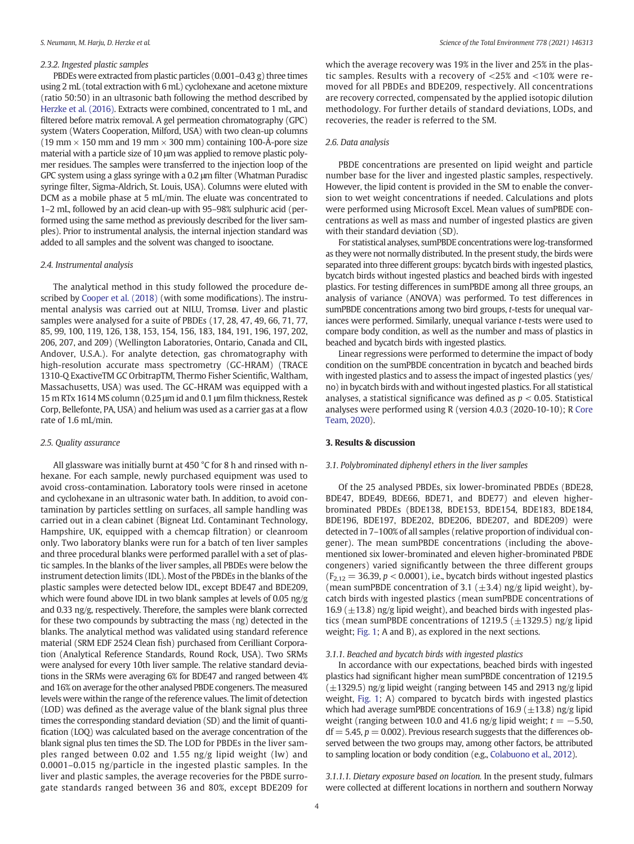# 2.3.2. Ingested plastic samples

PBDEs were extracted from plastic particles (0.001–0.43 g) three times using 2 mL (total extraction with 6 mL) cyclohexane and acetone mixture (ratio 50:50) in an ultrasonic bath following the method described by [Herzke et al. \(2016\)](#page-9-0). Extracts were combined, concentrated to 1 mL, and filtered before matrix removal. A gel permeation chromatography (GPC) system (Waters Cooperation, Milford, USA) with two clean-up columns (19 mm  $\times$  150 mm and 19 mm  $\times$  300 mm) containing 100-Å-pore size material with a particle size of 10 μm was applied to remove plastic polymer residues. The samples were transferred to the injection loop of the GPC system using a glass syringe with a 0.2 μm filter (Whatman Puradisc syringe filter, Sigma-Aldrich, St. Louis, USA). Columns were eluted with DCM as a mobile phase at 5 mL/min. The eluate was concentrated to 1–2 mL, followed by an acid clean-up with 95–98% sulphuric acid (performed using the same method as previously described for the liver samples). Prior to instrumental analysis, the internal injection standard was added to all samples and the solvent was changed to isooctane.

#### 2.4. Instrumental analysis

The analytical method in this study followed the procedure described by [Cooper et al. \(2018\)](#page-8-0) (with some modifications). The instrumental analysis was carried out at NILU, Tromsø. Liver and plastic samples were analysed for a suite of PBDEs (17, 28, 47, 49, 66, 71, 77, 85, 99, 100, 119, 126, 138, 153, 154, 156, 183, 184, 191, 196, 197, 202, 206, 207, and 209) (Wellington Laboratories, Ontario, Canada and CIL, Andover, U.S.A.). For analyte detection, gas chromatography with high-resolution accurate mass spectrometry (GC-HRAM) (TRACE 1310-Q ExactiveTM GC OrbitrapTM, Thermo Fisher Scientific, Waltham, Massachusetts, USA) was used. The GC-HRAM was equipped with a 15 m RTx 1614 MS column (0.25 μm id and 0.1 μm film thickness, Restek Corp, Bellefonte, PA, USA) and helium was used as a carrier gas at a flow rate of 1.6 mL/min.

#### 2.5. Quality assurance

All glassware was initially burnt at 450 °C for 8 h and rinsed with nhexane. For each sample, newly purchased equipment was used to avoid cross-contamination. Laboratory tools were rinsed in acetone and cyclohexane in an ultrasonic water bath. In addition, to avoid contamination by particles settling on surfaces, all sample handling was carried out in a clean cabinet (Bigneat Ltd. Contaminant Technology, Hampshire, UK, equipped with a chemcap filtration) or cleanroom only. Two laboratory blanks were run for a batch of ten liver samples and three procedural blanks were performed parallel with a set of plastic samples. In the blanks of the liver samples, all PBDEs were below the instrument detection limits (IDL). Most of the PBDEs in the blanks of the plastic samples were detected below IDL, except BDE47 and BDE209, which were found above IDL in two blank samples at levels of 0.05 ng/g and 0.33 ng/g, respectively. Therefore, the samples were blank corrected for these two compounds by subtracting the mass (ng) detected in the blanks. The analytical method was validated using standard reference material (SRM EDF 2524 Clean fish) purchased from Cerilliant Corporation (Analytical Reference Standards, Round Rock, USA). Two SRMs were analysed for every 10th liver sample. The relative standard deviations in the SRMs were averaging 6% for BDE47 and ranged between 4% and 16% on average for the other analysed PBDE congeners. The measured levels were within the range of the reference values. The limit of detection (LOD) was defined as the average value of the blank signal plus three times the corresponding standard deviation (SD) and the limit of quantification (LOQ) was calculated based on the average concentration of the blank signal plus ten times the SD. The LOD for PBDEs in the liver samples ranged between 0.02 and 1.55 ng/g lipid weight (lw) and 0.0001–0.015 ng/particle in the ingested plastic samples. In the liver and plastic samples, the average recoveries for the PBDE surrogate standards ranged between 36 and 80%, except BDE209 for which the average recovery was 19% in the liver and 25% in the plastic samples. Results with a recovery of <25% and <10% were removed for all PBDEs and BDE209, respectively. All concentrations are recovery corrected, compensated by the applied isotopic dilution methodology. For further details of standard deviations, LODs, and recoveries, the reader is referred to the SM.

# 2.6. Data analysis

PBDE concentrations are presented on lipid weight and particle number base for the liver and ingested plastic samples, respectively. However, the lipid content is provided in the SM to enable the conversion to wet weight concentrations if needed. Calculations and plots were performed using Microsoft Excel. Mean values of sumPBDE concentrations as well as mass and number of ingested plastics are given with their standard deviation (SD).

For statistical analyses, sumPBDE concentrations were log-transformed as they were not normally distributed. In the present study, the birds were separated into three different groups: bycatch birds with ingested plastics, bycatch birds without ingested plastics and beached birds with ingested plastics. For testing differences in sumPBDE among all three groups, an analysis of variance (ANOVA) was performed. To test differences in sumPBDE concentrations among two bird groups, t-tests for unequal variances were performed. Similarly, unequal variance t-tests were used to compare body condition, as well as the number and mass of plastics in beached and bycatch birds with ingested plastics.

Linear regressions were performed to determine the impact of body condition on the sumPBDE concentration in bycatch and beached birds with ingested plastics and to assess the impact of ingested plastics (yes/ no) in bycatch birds with and without ingested plastics. For all statistical analyses, a statistical significance was defined as  $p < 0.05$ . Statistical analyses were performed using R (version 4.0.3 (2020-10-10); R [Core](#page-9-0) [Team, 2020](#page-9-0)).

# 3. Results & discussion

#### 3.1. Polybrominated diphenyl ethers in the liver samples

Of the 25 analysed PBDEs, six lower-brominated PBDEs (BDE28, BDE47, BDE49, BDE66, BDE71, and BDE77) and eleven higherbrominated PBDEs (BDE138, BDE153, BDE154, BDE183, BDE184, BDE196, BDE197, BDE202, BDE206, BDE207, and BDE209) were detected in 7–100% of all samples (relative proportion of individual congener). The mean sumPBDE concentrations (including the abovementioned six lower-brominated and eleven higher-brominated PBDE congeners) varied significantly between the three different groups  $(F_{2,12} = 36.39, p < 0.0001)$ , i.e., bycatch birds without ingested plastics (mean sumPBDE concentration of 3.1 ( $\pm$ 3.4) ng/g lipid weight), bycatch birds with ingested plastics (mean sumPBDE concentrations of 16.9 ( $\pm$ 13.8) ng/g lipid weight), and beached birds with ingested plastics (mean sumPBDE concentrations of 1219.5 ( $\pm$ 1329.5) ng/g lipid weight; [Fig. 1](#page-4-0); A and B), as explored in the next sections.

#### 3.1.1. Beached and bycatch birds with ingested plastics

In accordance with our expectations, beached birds with ingested plastics had significant higher mean sumPBDE concentration of 1219.5  $(\pm 1329.5)$  ng/g lipid weight (ranging between 145 and 2913 ng/g lipid weight, [Fig. 1](#page-4-0); A) compared to bycatch birds with ingested plastics which had average sumPBDE concentrations of 16.9 ( $\pm$ 13.8) ng/g lipid weight (ranging between 10.0 and 41.6 ng/g lipid weight;  $t = -5.50$ ,  $df = 5.45, p = 0.002$ ). Previous research suggests that the differences observed between the two groups may, among other factors, be attributed to sampling location or body condition (e.g., [Colabuono et al., 2012](#page-8-0)).

3.1.1.1. Dietary exposure based on location. In the present study, fulmars were collected at different locations in northern and southern Norway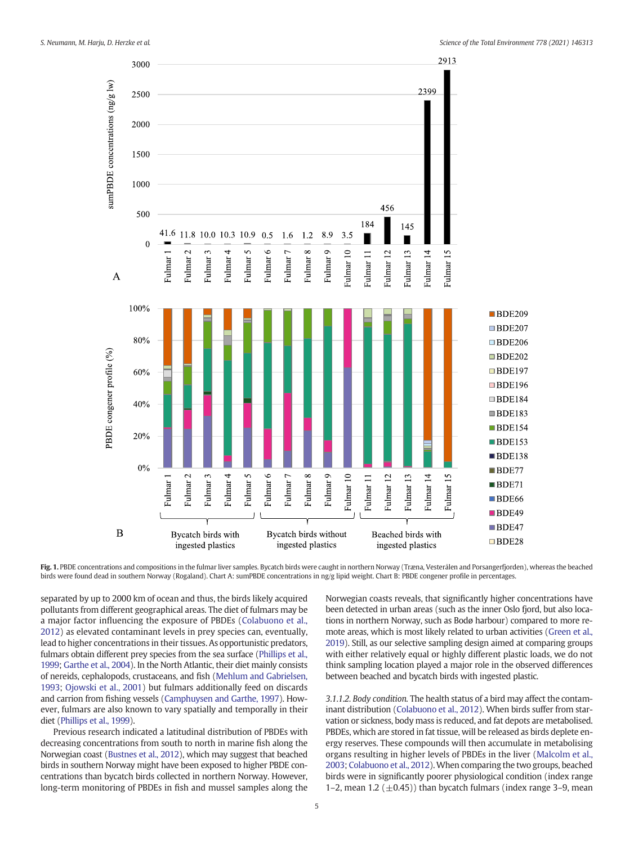<span id="page-4-0"></span>

Fig. 1. PBDE concentrations and compositions in the fulmar liver samples. Bycatch birds were caught in northern Norway (Træna, Vesterålen and Porsangerfjorden), whereas the beached birds were found dead in southern Norway (Rogaland). Chart A: sumPBDE concentrations in ng/g lipid weight. Chart B: PBDE congener profile in percentages.

separated by up to 2000 km of ocean and thus, the birds likely acquired pollutants from different geographical areas. The diet of fulmars may be a major factor influencing the exposure of PBDEs [\(Colabuono et al.,](#page-8-0) [2012](#page-8-0)) as elevated contaminant levels in prey species can, eventually, lead to higher concentrations in their tissues. As opportunistic predators, fulmars obtain different prey species from the sea surface [\(Phillips et al.,](#page-9-0) [1999;](#page-9-0) [Garthe et al., 2004](#page-9-0)). In the North Atlantic, their diet mainly consists of nereids, cephalopods, crustaceans, and fish [\(Mehlum and Gabrielsen,](#page-9-0) [1993](#page-9-0); [Ojowski et al., 2001\)](#page-9-0) but fulmars additionally feed on discards and carrion from fishing vessels ([Camphuysen and Garthe, 1997](#page-8-0)). However, fulmars are also known to vary spatially and temporally in their diet [\(Phillips et al., 1999\)](#page-9-0).

Previous research indicated a latitudinal distribution of PBDEs with decreasing concentrations from south to north in marine fish along the Norwegian coast ([Bustnes et al., 2012](#page-8-0)), which may suggest that beached birds in southern Norway might have been exposed to higher PBDE concentrations than bycatch birds collected in northern Norway. However, long-term monitoring of PBDEs in fish and mussel samples along the

Norwegian coasts reveals, that significantly higher concentrations have been detected in urban areas (such as the inner Oslo fjord, but also locations in northern Norway, such as Bodø harbour) compared to more remote areas, which is most likely related to urban activities [\(Green et al.,](#page-9-0) [2019\)](#page-9-0). Still, as our selective sampling design aimed at comparing groups with either relatively equal or highly different plastic loads, we do not think sampling location played a major role in the observed differences between beached and bycatch birds with ingested plastic.

3.1.1.2. Body condition. The health status of a bird may affect the contaminant distribution ([Colabuono et al., 2012\)](#page-8-0). When birds suffer from starvation or sickness, body mass is reduced, and fat depots are metabolised. PBDEs, which are stored in fat tissue, will be released as birds deplete energy reserves. These compounds will then accumulate in metabolising organs resulting in higher levels of PBDEs in the liver [\(Malcolm et al.,](#page-9-0) [2003;](#page-9-0) [Colabuono et al., 2012\)](#page-8-0).When comparing the two groups, beached birds were in significantly poorer physiological condition (index range 1–2, mean 1.2 ( $\pm$ 0.45)) than bycatch fulmars (index range 3–9, mean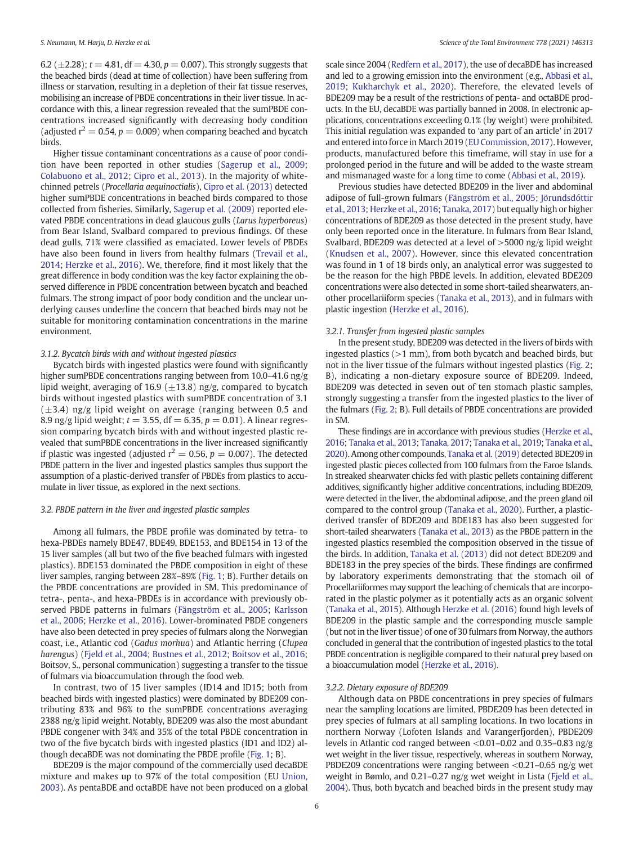6.2 ( $\pm$ 2.28);  $t = 4.81$ , df = 4.30,  $p = 0.007$ ). This strongly suggests that the beached birds (dead at time of collection) have been suffering from illness or starvation, resulting in a depletion of their fat tissue reserves, mobilising an increase of PBDE concentrations in their liver tissue. In accordance with this, a linear regression revealed that the sumPBDE concentrations increased significantly with decreasing body condition (adjusted  $r^2 = 0.54$ ,  $p = 0.009$ ) when comparing beached and bycatch birds.

Higher tissue contaminant concentrations as a cause of poor condition have been reported in other studies ([Sagerup et al., 2009](#page-9-0); [Colabuono et al., 2012;](#page-8-0) [Cipro et al., 2013\)](#page-8-0). In the majority of whitechinned petrels (Procellaria aequinoctialis), [Cipro et al. \(2013\)](#page-8-0) detected higher sumPBDE concentrations in beached birds compared to those collected from fisheries. Similarly, [Sagerup et al. \(2009\)](#page-9-0) reported elevated PBDE concentrations in dead glaucous gulls (Larus hyperboreus) from Bear Island, Svalbard compared to previous findings. Of these dead gulls, 71% were classified as emaciated. Lower levels of PBDEs have also been found in livers from healthy fulmars ([Trevail et al.,](#page-10-0) [2014;](#page-10-0) [Herzke et al., 2016](#page-9-0)). We, therefore, find it most likely that the great difference in body condition was the key factor explaining the observed difference in PBDE concentration between bycatch and beached fulmars. The strong impact of poor body condition and the unclear underlying causes underline the concern that beached birds may not be suitable for monitoring contamination concentrations in the marine environment.

# 3.1.2. Bycatch birds with and without ingested plastics

Bycatch birds with ingested plastics were found with significantly higher sumPBDE concentrations ranging between from 10.0–41.6 ng/g lipid weight, averaging of 16.9 ( $\pm$ 13.8) ng/g, compared to bycatch birds without ingested plastics with sumPBDE concentration of 3.1  $(\pm 3.4)$  ng/g lipid weight on average (ranging between 0.5 and 8.9 ng/g lipid weight;  $t = 3.55$ , df = 6.35,  $p = 0.01$ ). A linear regression comparing bycatch birds with and without ingested plastic revealed that sumPBDE concentrations in the liver increased significantly if plastic was ingested (adjusted  $r^2 = 0.56$ ,  $p = 0.007$ ). The detected PBDE pattern in the liver and ingested plastics samples thus support the assumption of a plastic-derived transfer of PBDEs from plastics to accumulate in liver tissue, as explored in the next sections.

# 3.2. PBDE pattern in the liver and ingested plastic samples

Among all fulmars, the PBDE profile was dominated by tetra- to hexa-PBDEs namely BDE47, BDE49, BDE153, and BDE154 in 13 of the 15 liver samples (all but two of the five beached fulmars with ingested plastics). BDE153 dominated the PBDE composition in eight of these liver samples, ranging between 28%–89% ([Fig. 1;](#page-4-0) B). Further details on the PBDE concentrations are provided in SM. This predominance of tetra-, penta-, and hexa-PBDEs is in accordance with previously observed PBDE patterns in fulmars [\(Fängström et al., 2005;](#page-8-0) [Karlsson](#page-9-0) [et al., 2006](#page-9-0); [Herzke et al., 2016\)](#page-9-0). Lower-brominated PBDE congeners have also been detected in prey species of fulmars along the Norwegian coast, i.e., Atlantic cod (Gadus morhua) and Atlantic herring (Clupea harengus) [\(Fjeld et al., 2004](#page-8-0); [Bustnes et al., 2012](#page-8-0); [Boitsov et al., 2016](#page-8-0); Boitsov, S., personal communication) suggesting a transfer to the tissue of fulmars via bioaccumulation through the food web.

In contrast, two of 15 liver samples (ID14 and ID15; both from beached birds with ingested plastics) were dominated by BDE209 contributing 83% and 96% to the sumPBDE concentrations averaging 2388 ng/g lipid weight. Notably, BDE209 was also the most abundant PBDE congener with 34% and 35% of the total PBDE concentration in two of the five bycatch birds with ingested plastics (ID1 and ID2) although decaBDE was not dominating the PBDE profile [\(Fig. 1](#page-4-0); B).

BDE209 is the major compound of the commercially used decaBDE mixture and makes up to 97% of the total composition (EU [Union,](#page-8-0) [2003](#page-8-0)). As pentaBDE and octaBDE have not been produced on a global scale since 2004 ([Redfern et al., 2017\)](#page-9-0), the use of decaBDE has increased and led to a growing emission into the environment (e.g., [Abbasi et al.,](#page-8-0) [2019;](#page-8-0) [Kukharchyk et al., 2020](#page-9-0)). Therefore, the elevated levels of BDE209 may be a result of the restrictions of penta- and octaBDE products. In the EU, decaBDE was partially banned in 2008. In electronic applications, concentrations exceeding 0.1% (by weight) were prohibited. This initial regulation was expanded to 'any part of an article' in 2017 and entered into force in March 2019 [\(EU Commission, 2017](#page-8-0)). However, products, manufactured before this timeframe, will stay in use for a prolonged period in the future and will be added to the waste stream and mismanaged waste for a long time to come ([Abbasi et al., 2019\)](#page-8-0).

Previous studies have detected BDE209 in the liver and abdominal adipose of full-grown fulmars ([Fängström et al., 2005](#page-8-0); [Jörundsdóttir](#page-9-0) [et al., 2013](#page-9-0); [Herzke et al., 2016;](#page-9-0) [Tanaka, 2017\)](#page-10-0) but equally high or higher concentrations of BDE209 as those detected in the present study, have only been reported once in the literature. In fulmars from Bear Island, Svalbard, BDE209 was detected at a level of  $>5000$  ng/g lipid weight ([Knudsen et al., 2007\)](#page-9-0). However, since this elevated concentration was found in 1 of 18 birds only, an analytical error was suggested to be the reason for the high PBDE levels. In addition, elevated BDE209 concentrations were also detected in some short-tailed shearwaters, another procellariiform species ([Tanaka et al., 2013\)](#page-10-0), and in fulmars with plastic ingestion [\(Herzke et al., 2016](#page-9-0)).

#### 3.2.1. Transfer from ingested plastic samples

In the present study, BDE209 was detected in the livers of birds with ingested plastics  $(>1$  mm), from both bycatch and beached birds, but not in the liver tissue of the fulmars without ingested plastics [\(Fig. 2](#page-6-0); B), indicating a non-dietary exposure source of BDE209. Indeed, BDE209 was detected in seven out of ten stomach plastic samples, strongly suggesting a transfer from the ingested plastics to the liver of the fulmars [\(Fig. 2;](#page-6-0) B). Full details of PBDE concentrations are provided in SM.

These findings are in accordance with previous studies [\(Herzke et al.,](#page-9-0) [2016;](#page-9-0) [Tanaka et al., 2013](#page-10-0); [Tanaka, 2017;](#page-10-0) [Tanaka et al., 2019;](#page-10-0) [Tanaka et al.,](#page-10-0) [2020\)](#page-10-0). Among other compounds, [Tanaka et al. \(2019\)](#page-10-0) detected BDE209 in ingested plastic pieces collected from 100 fulmars from the Faroe Islands. In streaked shearwater chicks fed with plastic pellets containing different additives, significantly higher additive concentrations, including BDE209, were detected in the liver, the abdominal adipose, and the preen gland oil compared to the control group [\(Tanaka et al., 2020](#page-10-0)). Further, a plasticderived transfer of BDE209 and BDE183 has also been suggested for short-tailed shearwaters [\(Tanaka et al., 2013](#page-10-0)) as the PBDE pattern in the ingested plastics resembled the composition observed in the tissue of the birds. In addition, [Tanaka et al. \(2013\)](#page-10-0) did not detect BDE209 and BDE183 in the prey species of the birds. These findings are confirmed by laboratory experiments demonstrating that the stomach oil of Procellariiformes may support the leaching of chemicals that are incorporated in the plastic polymer as it potentially acts as an organic solvent [\(Tanaka et al., 2015](#page-10-0)). Although [Herzke et al. \(2016\)](#page-9-0) found high levels of BDE209 in the plastic sample and the corresponding muscle sample (but not in the liver tissue) of one of 30 fulmars from Norway, the authors concluded in general that the contribution of ingested plastics to the total PBDE concentration is negligible compared to their natural prey based on a bioaccumulation model [\(Herzke et al., 2016](#page-9-0)).

# 3.2.2. Dietary exposure of BDE209

Although data on PBDE concentrations in prey species of fulmars near the sampling locations are limited, PBDE209 has been detected in prey species of fulmars at all sampling locations. In two locations in northern Norway (Lofoten Islands and Varangerfjorden), PBDE209 levels in Atlantic cod ranged between <0.01–0.02 and 0.35–0.83 ng/g wet weight in the liver tissue, respectively, whereas in southern Norway, PBDE209 concentrations were ranging between <0.21–0.65 ng/g wet weight in Bømlo, and 0.21–0.27 ng/g wet weight in Lista [\(Fjeld et al.,](#page-8-0) [2004\)](#page-8-0). Thus, both bycatch and beached birds in the present study may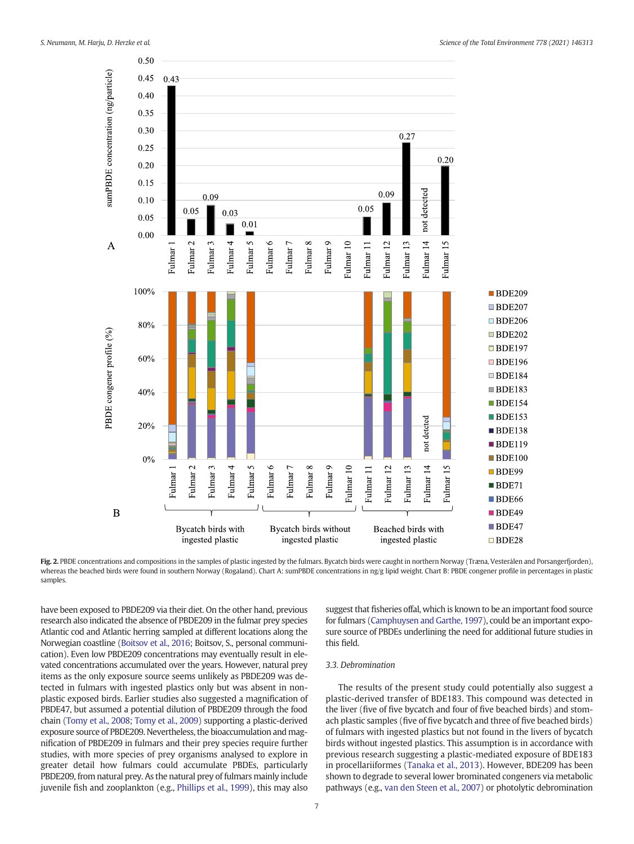<span id="page-6-0"></span>

Fig. 2. PBDE concentrations and compositions in the samples of plastic ingested by the fulmars. Bycatch birds were caught in northern Norway (Træna, Vesterålen and Porsangerfjorden), whereas the beached birds were found in southern Norway (Rogaland). Chart A: sumPBDE concentrations in ng/g lipid weight. Chart B: PBDE congener profile in percentages in plastic samples.

have been exposed to PBDE209 via their diet. On the other hand, previous research also indicated the absence of PBDE209 in the fulmar prey species Atlantic cod and Atlantic herring sampled at different locations along the Norwegian coastline [\(Boitsov et al., 2016;](#page-8-0) Boitsov, S., personal communication). Even low PBDE209 concentrations may eventually result in elevated concentrations accumulated over the years. However, natural prey items as the only exposure source seems unlikely as PBDE209 was detected in fulmars with ingested plastics only but was absent in nonplastic exposed birds. Earlier studies also suggested a magnification of PBDE47, but assumed a potential dilution of PBDE209 through the food chain [\(Tomy et al., 2008;](#page-10-0) [Tomy et al., 2009](#page-10-0)) supporting a plastic-derived exposure source of PBDE209. Nevertheless, the bioaccumulation and magnification of PBDE209 in fulmars and their prey species require further studies, with more species of prey organisms analysed to explore in greater detail how fulmars could accumulate PBDEs, particularly PBDE209, from natural prey. As the natural prey of fulmars mainly include juvenile fish and zooplankton (e.g., [Phillips et al., 1999](#page-9-0)), this may also

7

suggest that fisheries offal, which is known to be an important food source for fulmars ([Camphuysen and Garthe, 1997\)](#page-8-0), could be an important exposure source of PBDEs underlining the need for additional future studies in this field.

# 3.3. Debromination

The results of the present study could potentially also suggest a plastic-derived transfer of BDE183. This compound was detected in the liver (five of five bycatch and four of five beached birds) and stomach plastic samples (five of five bycatch and three of five beached birds) of fulmars with ingested plastics but not found in the livers of bycatch birds without ingested plastics. This assumption is in accordance with previous research suggesting a plastic-mediated exposure of BDE183 in procellariiformes ([Tanaka et al., 2013](#page-10-0)). However, BDE209 has been shown to degrade to several lower brominated congeners via metabolic pathways (e.g., [van den Steen et al., 2007](#page-10-0)) or photolytic debromination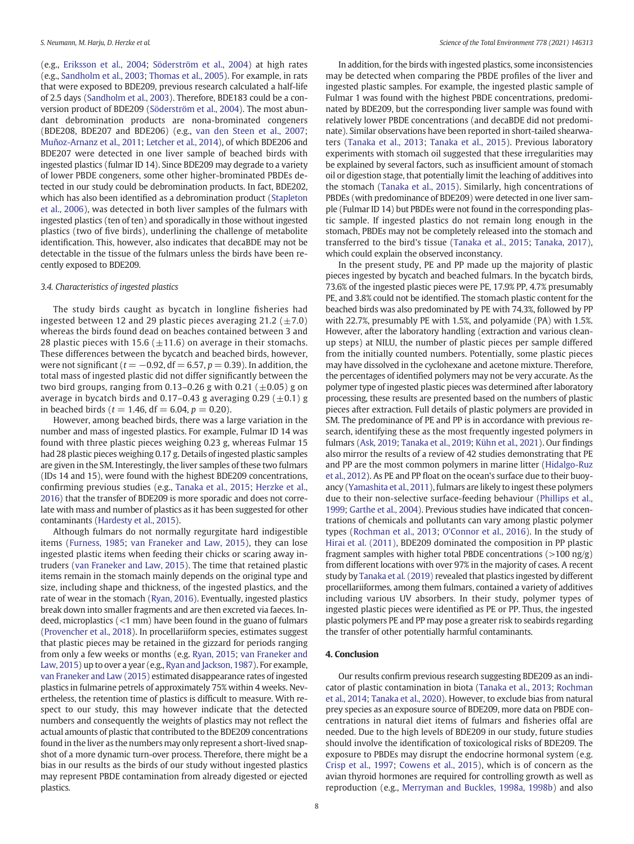(e.g., [Eriksson et al., 2004](#page-8-0); [Söderström et al., 2004](#page-10-0)) at high rates (e.g., [Sandholm et al., 2003](#page-9-0); [Thomas et al., 2005](#page-10-0)). For example, in rats that were exposed to BDE209, previous research calculated a half-life of 2.5 days [\(Sandholm et al., 2003\)](#page-9-0). Therefore, BDE183 could be a conversion product of BDE209 ([Söderström et al., 2004\)](#page-10-0). The most abundant debromination products are nona-brominated congeners (BDE208, BDE207 and BDE206) (e.g., [van den Steen et al., 2007](#page-10-0); [Muñoz-Arnanz et al., 2011;](#page-9-0) [Letcher et al., 2014\)](#page-9-0), of which BDE206 and BDE207 were detected in one liver sample of beached birds with ingested plastics (fulmar ID 14). Since BDE209 may degrade to a variety of lower PBDE congeners, some other higher-brominated PBDEs detected in our study could be debromination products. In fact, BDE202, which has also been identified as a debromination product [\(Stapleton](#page-10-0) [et al., 2006\)](#page-10-0), was detected in both liver samples of the fulmars with ingested plastics (ten of ten) and sporadically in those without ingested plastics (two of five birds), underlining the challenge of metabolite identification. This, however, also indicates that decaBDE may not be detectable in the tissue of the fulmars unless the birds have been recently exposed to BDE209.

# 3.4. Characteristics of ingested plastics

The study birds caught as bycatch in longline fisheries had ingested between 12 and 29 plastic pieces averaging 21.2 ( $\pm$ 7.0) whereas the birds found dead on beaches contained between 3 and 28 plastic pieces with 15.6 ( $\pm$ 11.6) on average in their stomachs. These differences between the bycatch and beached birds, however, were not significant ( $t = -0.92$ , df = 6.57,  $p = 0.39$ ). In addition, the total mass of ingested plastic did not differ significantly between the two bird groups, ranging from 0.13–0.26 g with 0.21  $(\pm 0.05)$  g on average in bycatch birds and 0.17–0.43 g averaging 0.29  $(\pm 0.1)$  g in beached birds ( $t = 1.46$ , df = 6.04,  $p = 0.20$ ).

However, among beached birds, there was a large variation in the number and mass of ingested plastics. For example, Fulmar ID 14 was found with three plastic pieces weighing 0.23 g, whereas Fulmar 15 had 28 plastic pieces weighing 0.17 g. Details of ingested plastic samples are given in the SM. Interestingly, the liver samples of these two fulmars (IDs 14 and 15), were found with the highest BDE209 concentrations, confirming previous studies (e.g., [Tanaka et al., 2015;](#page-10-0) [Herzke et al.,](#page-9-0) [2016\)](#page-9-0) that the transfer of BDE209 is more sporadic and does not correlate with mass and number of plastics as it has been suggested for other contaminants [\(Hardesty et al., 2015\)](#page-9-0).

Although fulmars do not normally regurgitate hard indigestible items [\(Furness, 1985](#page-9-0); [van Franeker and Law, 2015\)](#page-9-0), they can lose ingested plastic items when feeding their chicks or scaring away intruders ([van Franeker and Law, 2015\)](#page-9-0). The time that retained plastic items remain in the stomach mainly depends on the original type and size, including shape and thickness, of the ingested plastics, and the rate of wear in the stomach [\(Ryan, 2016\)](#page-9-0). Eventually, ingested plastics break down into smaller fragments and are then excreted via faeces. Indeed, microplastics (<1 mm) have been found in the guano of fulmars ([Provencher et al., 2018\)](#page-9-0). In procellariiform species, estimates suggest that plastic pieces may be retained in the gizzard for periods ranging from only a few weeks or months (e.g. [Ryan, 2015](#page-9-0); [van Franeker and](#page-9-0) [Law, 2015\)](#page-9-0) up to over a year (e.g., [Ryan and Jackson, 1987](#page-9-0)). For example, [van Franeker and Law \(2015\)](#page-9-0) estimated disappearance rates of ingested plastics in fulmarine petrels of approximately 75% within 4 weeks. Nevertheless, the retention time of plastics is difficult to measure. With respect to our study, this may however indicate that the detected numbers and consequently the weights of plastics may not reflect the actual amounts of plastic that contributed to the BDE209 concentrations found in the liver as the numbers may only represent a short-lived snapshot of a more dynamic turn-over process. Therefore, there might be a bias in our results as the birds of our study without ingested plastics may represent PBDE contamination from already digested or ejected plastics.

In addition, for the birds with ingested plastics, some inconsistencies may be detected when comparing the PBDE profiles of the liver and ingested plastic samples. For example, the ingested plastic sample of Fulmar 1 was found with the highest PBDE concentrations, predominated by BDE209, but the corresponding liver sample was found with relatively lower PBDE concentrations (and decaBDE did not predominate). Similar observations have been reported in short-tailed shearwaters ([Tanaka et al., 2013](#page-10-0); [Tanaka et al., 2015\)](#page-10-0). Previous laboratory experiments with stomach oil suggested that these irregularities may be explained by several factors, such as insufficient amount of stomach oil or digestion stage, that potentially limit the leaching of additives into the stomach [\(Tanaka et al., 2015](#page-10-0)). Similarly, high concentrations of PBDEs (with predominance of BDE209) were detected in one liver sample (Fulmar ID 14) but PBDEs were not found in the corresponding plastic sample. If ingested plastics do not remain long enough in the stomach, PBDEs may not be completely released into the stomach and transferred to the bird's tissue [\(Tanaka et al., 2015;](#page-10-0) [Tanaka, 2017\)](#page-10-0), which could explain the observed inconstancy.

In the present study, PE and PP made up the majority of plastic pieces ingested by bycatch and beached fulmars. In the bycatch birds, 73.6% of the ingested plastic pieces were PE, 17.9% PP, 4.7% presumably PE, and 3.8% could not be identified. The stomach plastic content for the beached birds was also predominated by PE with 74.3%, followed by PP with 22.7%, presumably PE with 1.5%, and polyamide (PA) with 1.5%. However, after the laboratory handling (extraction and various cleanup steps) at NILU, the number of plastic pieces per sample differed from the initially counted numbers. Potentially, some plastic pieces may have dissolved in the cyclohexane and acetone mixture. Therefore, the percentages of identified polymers may not be very accurate. As the polymer type of ingested plastic pieces was determined after laboratory processing, these results are presented based on the numbers of plastic pieces after extraction. Full details of plastic polymers are provided in SM. The predominance of PE and PP is in accordance with previous research, identifying these as the most frequently ingested polymers in fulmars [\(Ask, 2019;](#page-8-0) [Tanaka et al., 2019](#page-10-0); [Kühn et al., 2021](#page-9-0)). Our findings also mirror the results of a review of 42 studies demonstrating that PE and PP are the most common polymers in marine litter [\(Hidalgo-Ruz](#page-9-0) [et al., 2012\)](#page-9-0). As PE and PP float on the ocean's surface due to their buoyancy ([Yamashita et al., 2011](#page-10-0)), fulmars are likely to ingest these polymers due to their non-selective surface-feeding behaviour ([Phillips et al.,](#page-9-0) [1999;](#page-9-0) [Garthe et al., 2004\)](#page-9-0). Previous studies have indicated that concentrations of chemicals and pollutants can vary among plastic polymer types [\(Rochman et al., 2013;](#page-9-0) [O'Connor et al., 2016](#page-9-0)). In the study of [Hirai et al. \(2011\)](#page-9-0), BDE209 dominated the composition in PP plastic fragment samples with higher total PBDE concentrations ( $>100$  ng/g) from different locations with over 97% in the majority of cases. A recent study by [Tanaka et al. \(2019\)](#page-10-0) revealed that plastics ingested by different procellariiformes, among them fulmars, contained a variety of additives including various UV absorbers. In their study, polymer types of ingested plastic pieces were identified as PE or PP. Thus, the ingested plastic polymers PE and PP may pose a greater risk to seabirds regarding the transfer of other potentially harmful contaminants.

### 4. Conclusion

Our results confirm previous research suggesting BDE209 as an indicator of plastic contamination in biota [\(Tanaka et al., 2013](#page-10-0); [Rochman](#page-9-0) [et al., 2014](#page-9-0); [Tanaka et al., 2020\)](#page-10-0). However, to exclude bias from natural prey species as an exposure source of BDE209, more data on PBDE concentrations in natural diet items of fulmars and fisheries offal are needed. Due to the high levels of BDE209 in our study, future studies should involve the identification of toxicological risks of BDE209. The exposure to PBDEs may disrupt the endocrine hormonal system (e.g. [Crisp et al., 1997;](#page-8-0) [Cowens et al., 2015](#page-8-0)), which is of concern as the avian thyroid hormones are required for controlling growth as well as reproduction (e.g., [Merryman and Buckles, 1998a, 1998b\)](#page-9-0) and also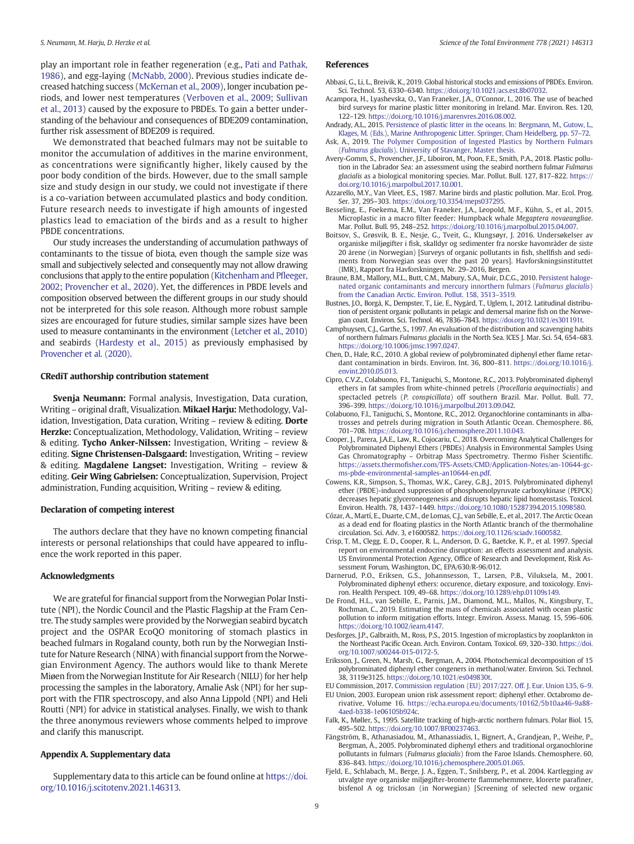<span id="page-8-0"></span>play an important role in feather regeneration (e.g., [Pati and Pathak,](#page-9-0) [1986](#page-9-0)), and egg-laying ([McNabb, 2000](#page-9-0)). Previous studies indicate decreased hatching success ([McKernan et al., 2009\)](#page-9-0), longer incubation periods, and lower nest temperatures [\(Verboven et al., 2009](#page-10-0); [Sullivan](#page-10-0) [et al., 2013](#page-10-0)) caused by the exposure to PBDEs. To gain a better understanding of the behaviour and consequences of BDE209 contamination, further risk assessment of BDE209 is required.

We demonstrated that beached fulmars may not be suitable to monitor the accumulation of additives in the marine environment, as concentrations were significantly higher, likely caused by the poor body condition of the birds. However, due to the small sample size and study design in our study, we could not investigate if there is a co-variation between accumulated plastics and body condition. Future research needs to investigate if high amounts of ingested plastics lead to emaciation of the birds and as a result to higher PBDE concentrations.

Our study increases the understanding of accumulation pathways of contaminants to the tissue of biota, even though the sample size was small and subjectively selected and consequently may not allow drawing conclusions that apply to the entire population [\(Kitchenham and P](#page-9-0)fleeger, [2002](#page-9-0); [Provencher et al., 2020](#page-9-0)). Yet, the differences in PBDE levels and composition observed between the different groups in our study should not be interpreted for this sole reason. Although more robust sample sizes are encouraged for future studies, similar sample sizes have been used to measure contaminants in the environment [\(Letcher et al., 2010\)](#page-9-0) and seabirds [\(Hardesty et al., 2015\)](#page-9-0) as previously emphasised by [Provencher et al. \(2020\)](#page-9-0).

# CRediT authorship contribution statement

Svenja Neumann: Formal analysis, Investigation, Data curation, Writing – original draft, Visualization. Mikael Harju: Methodology, Validation, Investigation, Data curation, Writing - review & editing. Dorte Herzke: Conceptualization, Methodology, Validation, Writing - review & editing. Tycho Anker-Nilssen: Investigation, Writing – review & editing. Signe Christensen-Dalsgaard: Investigation, Writing - review & editing. Magdalene Langset: Investigation, Writing – review & editing. Geir Wing Gabrielsen: Conceptualization, Supervision, Project administration, Funding acquisition, Writing – review & editing.

# Declaration of competing interest

The authors declare that they have no known competing financial interests or personal relationships that could have appeared to influence the work reported in this paper.

#### Acknowledgments

We are grateful for financial support from the Norwegian Polar Institute (NPI), the Nordic Council and the Plastic Flagship at the Fram Centre. The study samples were provided by the Norwegian seabird bycatch project and the OSPAR EcoQO monitoring of stomach plastics in beached fulmars in Rogaland county, both run by the Norwegian Institute for Nature Research (NINA) with financial support from the Norwegian Environment Agency. The authors would like to thank Merete Miøen from the Norwegian Institute for Air Research (NILU) for her help processing the samples in the laboratory, Amalie Ask (NPI) for her support with the FTIR spectroscopy, and also Anna Lippold (NPI) and Heli Routti (NPI) for advice in statistical analyses. Finally, we wish to thank the three anonymous reviewers whose comments helped to improve and clarify this manuscript.

# Appendix A. Supplementary data

Supplementary data to this article can be found online at [https://doi.](https://doi.org/10.1016/j.scitotenv.2021.146313) [org/10.1016/j.scitotenv.2021.146313.](https://doi.org/10.1016/j.scitotenv.2021.146313)

# References

- Abbasi, G., Li, L., Breivik, K., 2019. Global historical stocks and emissions of PBDEs. Environ. Sci. Technol. 53, 6330–6340. [https://doi.org/10.1021/acs.est.8b07032.](https://doi.org/10.1021/acs.est.8b07032)
- Acampora, H., Lyashevska, O., Van Franeker, J.A., O'Connor, I., 2016. The use of beached bird surveys for marine plastic litter monitoring in Ireland. Mar. Environ. Res. 120, 122–129. [https://doi.org/10.1016/j.marenvres.2016.08.002.](https://doi.org/10.1016/j.marenvres.2016.08.002)
- Andrady, A.L., 2015. [Persistence of plastic litter in the oceans. In: Bergmann, M., Gutow, L.,](http://refhub.elsevier.com/S0048-9697(21)01381-4/rf0015) [Klages, M. \(Eds.\), Marine Anthropogenic Litter. Springer, Cham Heidelberg, pp. 57](http://refhub.elsevier.com/S0048-9697(21)01381-4/rf0015)–72.
- Ask, A., 2019. [The Polymer Composition of Ingested Plastics by Northern Fulmars](http://refhub.elsevier.com/S0048-9697(21)01381-4/rf0020) (Fulmarus glacialis[\). University of Stavanger, Master thesis.](http://refhub.elsevier.com/S0048-9697(21)01381-4/rf0020)
- Avery-Gomm, S., Provencher, J.F., Liboiron, M., Poon, F.E., Smith, P.A., 2018. Plastic pollution in the Labrador Sea: an assessment using the seabird northern fulmar Fulmarus glacialis as a biological monitoring species. Mar. Pollut. Bull. 127, 817–822. [https://](https://doi.org/10.1016/j.marpolbul.2017.10.001) [doi.org/10.1016/j.marpolbul.2017.10.001](https://doi.org/10.1016/j.marpolbul.2017.10.001).
- Azzarello, M.Y., Van Vleet, E.S., 1987. Marine birds and plastic pollution. Mar. Ecol. Prog. Ser. 37, 295–303. <https://doi.org/10.3354/meps037295>.
- Besseling, E., Foekema, E.M., Van Franeker, J.A., Leopold, M.F., Kühn, S., et al., 2015. Microplastic in a macro filter feeder: Humpback whale Megaptera novaeangliae. Mar. Pollut. Bull. 95, 248–252. [https://doi.org/10.1016/j.marpolbul.2015.04.007.](https://doi.org/10.1016/j.marpolbul.2015.04.007)
- Boitsov, S., Grøsvik, B. E., Nesje, G., Tveit, G., Klungsøyr, J. 2016. Undersøkelser av organiske miljøgifter i fisk, skalldyr og sedimenter fra norske havområder de siste 20 årene (in Norwegian) [Surveys of organic pollutants in fish, shellfish and sediments from Norwegian seas over the past 20 years]. Havforskningsinstituttet (IMR), Rapport fra Havforskningen, Nr. 29–2016, Bergen.
- Braune, B.M., Mallory, M.L., Butt, C.M., Mabury, S.A., Muir, D.C.G., 2010. [Persistent haloge](http://refhub.elsevier.com/S0048-9697(21)01381-4/rf0040)[nated organic contaminants and mercury innorthern fulmars \(](http://refhub.elsevier.com/S0048-9697(21)01381-4/rf0040)Fulmarus glacialis) [from the Canadian Arctic. Environ. Pollut. 158, 3513](http://refhub.elsevier.com/S0048-9697(21)01381-4/rf0040)–3519.
- Bustnes, J.O., Borgå, K., Dempster, T., Lie, E., Nygård, T., Uglem, I., 2012. Latitudinal distribution of persistent organic pollutants in pelagic and demersal marine fish on the Norwegian coast. Environ. Sci. Technol. 46, 7836–7843. <https://doi.org/10.1021/es301191t>.
- Camphuysen, C.J., Garthe, S., 1997. An evaluation of the distribution and scavenging habits of northern fulmars Fulmarus glacialis in the North Sea. ICES J. Mar. Sci. 54, 654–683. <https://doi.org/10.1006/jmsc.1997.0247>.
- Chen, D., Hale, R.C., 2010. A global review of polybrominated diphenyl ether flame retardant contamination in birds. Environ. Int. 36, 800–811. [https://doi.org/10.1016/j.](https://doi.org/10.1016/j.envint.2010.05.013) [envint.2010.05.013](https://doi.org/10.1016/j.envint.2010.05.013).
- Cipro, C.V.Z., Colabuono, F.I., Taniguchi, S., Montone, R.C., 2013. Polybrominated diphenyl ethers in fat samples from white-chinned petrels (Procellaria aequinoctialis) and spectacled petrels (P. conspicillata) off southern Brazil. Mar. Pollut. Bull. 77, 396–399. [https://doi.org/10.1016/j.marpolbul.2013.09.042.](https://doi.org/10.1016/j.marpolbul.2013.09.042)
- Colabuono, F.I., Taniguchi, S., Montone, R.C., 2012. Organochlorine contaminants in albatrosses and petrels during migration in South Atlantic Ocean. Chemosphere. 86, 701–708. [https://doi.org/10.1016/j.chemosphere.2011.10.043.](https://doi.org/10.1016/j.chemosphere.2011.10.043)
- Cooper, J., Parera, J.A.E., Law, R., Cojocariu, C., 2018. Overcoming Analytical Challenges for Polybrominated Diphenyl Ethers (PBDEs) Analysis in Environmental Samples Using Gas Chromatography – Orbitrap Mass Spectrometry. Thermo Fisher Scientific. https://assets.thermofi[sher.com/TFS-Assets/CMD/Application-Notes/an-10644-gc](https://assets.thermofisher.com/TFS-Assets/CMD/Application-Notes/an-10644-gc-ms-pbde-environmental-samples-an10644-en.pdf)[ms-pbde-environmental-samples-an10644-en.pdf](https://assets.thermofisher.com/TFS-Assets/CMD/Application-Notes/an-10644-gc-ms-pbde-environmental-samples-an10644-en.pdf).
- Cowens, K.R., Simpson, S., Thomas, W.K., Carey, G.B.J., 2015. Polybrominated diphenyl ether (PBDE)-induced suppression of phosphoenolpyruvate carboxykinase (PEPCK) decreases hepatic glyceroneogenesis and disrupts hepatic lipid homeostasis. Toxicol. Environ. Health. 78, 1437–1449. <https://doi.org/10.1080/15287394.2015.1098580>.
- Cózar, A., Martí, E., Duarte, C.M., de Lomas, C.J., van Sebille, E., et al., 2017. The Arctic Ocean as a dead end for floating plastics in the North Atlantic branch of the thermohaline circulation. Sci. Adv. 3, e1600582. [https://doi.org/10.1126/sciadv.1600582.](https://doi.org/10.1126/sciadv.1600582)
- Crisp, T. M., Clegg, E. D., Cooper, R. L., Anderson, D. G., Baetcke, K. P., et al. 1997. Special report on environmental endocrine disruption: an effects assessment and analysis. US Environmental Protection Agency, Office of Research and Development, Risk Assessment Forum, Washington, DC, EPA/630/R-96/012.
- Darnerud, P.O., Eriksen, G.S., Johannsesson, T., Larsen, P.B., Viluksela, M., 2001. Polybrominated diphenyl ethers: occurence, dietary exposure, and toxicology. Environ. Health Perspect. 109, 49–68. <https://doi.org/10.1289/ehp.01109s149>.
- De Frond, H.L., van Sebille, E., Parnis, J.M., Diamond, M.L., Mallos, N., Kingsbury, T., Rochman, C., 2019. Estimating the mass of chemicals associated with ocean plastic pollution to inform mitigation efforts. Integr. Environ. Assess. Manag. 15, 596–606. <https://doi.org/10.1002/ieam.4147>.
- Desforges, J.P., Galbraith, M., Ross, P.S., 2015. Ingestion of microplastics by zooplankton in the Northeast Pacific Ocean. Arch. Environ. Contam. Toxicol. 69, 320–330. [https://doi.](https://doi.org/10.1007/s00244-015-0172-5) [org/10.1007/s00244-015-0172-5.](https://doi.org/10.1007/s00244-015-0172-5)
- Eriksson, J., Green, N., Marsh, G., Bergman, A., 2004. Photochemical decomposition of 15 polybrominated diphenyl ether congeners in methanol/water. Environ. Sci. Technol. 38, 3119e3125. [https://doi.org/10.1021/es049830t.](https://doi.org/10.1021/es049830t)

EU Commission, 2017. [Commission regulation \(EU\) 2017/227. Off. J. Eur. Union L35, 6](http://refhub.elsevier.com/S0048-9697(21)01381-4/rf0105)–9.

- EU Union, 2003. European union risk assessment report: diphenyl ether. Octabromo derivative, Volume 16. [https://echa.europa.eu/documents/10162/5b10aa46-9a88-](https://echa.europa.eu/documents/10162/5b10aa46-9a88-4aed-b338-1e06105b924c) [4aed-b338-1e06105b924c.](https://echa.europa.eu/documents/10162/5b10aa46-9a88-4aed-b338-1e06105b924c)
- Falk, K., Møller, S., 1995. Satellite tracking of high-arctic northern fulmars. Polar Biol. 15, 495–502. <https://doi.org/10.1007/BF00237463>.
- Fängström, B., Athanasiadou, M., Athanassiadis, I., Bignert, A., Grandjean, P., Weihe, P., Bergman, Å., 2005. Polybrominated diphenyl ethers and traditional organochlorine pollutants in fulmars (Fulmarus glacialis) from the Faroe Islands. Chemosphere. 60, 836–843. [https://doi.org/10.1016/j.chemosphere.2005.01.065.](https://doi.org/10.1016/j.chemosphere.2005.01.065)
- Fjeld, E., Schlabach, M., Berge, J. A., Eggen, T., Snilsberg, P., et al. 2004. Kartlegging av utvalgte nye organiske miljøgifter-bromerte flammehemmere, klorerte parafiner, bisfenol A og triclosan (in Norwegian) [Screening of selected new organic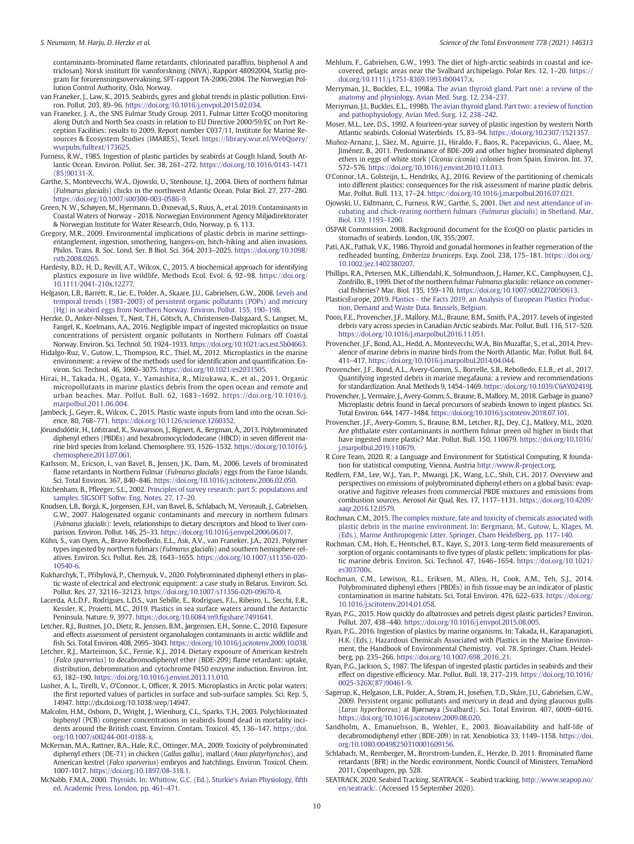<span id="page-9-0"></span>contaminants-brominated flame retardants, chlorinated paraffins, bisphenol A and triclosan]. Norsk institutt för vannforskning (NIVA), Rapport 48092004, Statlig program for forurensningsovervakning, SFT-rapport TA-2006/2004. The Norwegian Pollution Control Authority, Oslo, Norway.

- van Franeker, J., Law, K., 2015. Seabirds, gyres and global trends in plastic pollution. Environ. Pollut. 203, 89–96. <https://doi.org/10.1016/j.envpol.2015.02.034>.
- van Franeker, J. A., the SNS Fulmar Study Group. 2011. Fulmar Litter EcoQO monitoring along Dutch and North Sea coasts in relation to EU Directive 2000/59/EC on Port Reception Facilities: results to 2009. Report number C037/11, Institute for Marine Resources & Ecosystem Studies (IMARES), Texel. [https://library.wur.nl/WebQuery/](https://library.wur.nl/WebQuery/wurpubs/fulltext/173625) [wurpubs/fulltext/173625](https://library.wur.nl/WebQuery/wurpubs/fulltext/173625).
- Furness, R.W., 1985. Ingestion of plastic particles by seabirds at Gough Island, South Atlantic Ocean. Environ. Pollut. Ser. 38, 261–272. [https://doi.org/10.1016/0143-1471](https://doi.org/10.1016/0143-1471(85)90131-X) [\(85\)90131-X](https://doi.org/10.1016/0143-1471(85)90131-X).
- Garthe, S., Montevecchi, W.A., Ojowski, U., Stenhouse, I.J., 2004. Diets of northern fulmar (Fulmarus glacialis) chicks in the northwest Atlantic Ocean. Polar Biol. 27, 277–280. <https://doi.org/10.1007/s00300-003-0586-9>.
- Green, N. W., Schøyen, M., Hjermann, D., Øxnevad, S., Ruus, A., et al. 2019. Contaminants in Coastal Waters of Norway - 2018. Norwegian Environment Agency Miljødirektoratet & Norwegian Institute for Water Research, Oslo, Norway, p. 6, 113.
- Gregory, M.R., 2009. Environmental implications of plastic debris in marine settingsentanglement, ingestion, smothering, hangers-on, hitch-hiking and alien invasions. Philos. Trans. R. Soc. Lond. Ser. B Biol. Sci. 364, 2013–2025. [https://doi.org/10.1098/](https://doi.org/10.1098/rstb.2008.0265) [rstb.2008.0265](https://doi.org/10.1098/rstb.2008.0265).
- Hardesty, B.D., H, D., Revill, A.T., Wilcox, C., 2015. A biochemical approach for identifying plastics exposure in live wildlife. Methods Ecol. Evol. 6, 92–98. [https://doi.org/](https://doi.org/10.1111/2041-210x.12277) [10.1111/2041-210x.12277.](https://doi.org/10.1111/2041-210x.12277)
- Helgason, L.B., Barrett, R., Lie, E., Polder, A., Skaare, J.U., Gabrielsen, G.W., 2008. [Levels and](http://refhub.elsevier.com/S0048-9697(21)01381-4/rf0150) temporal trends (1983–[2003\) of persistent organic pollutants \(POPs\) and mercury](http://refhub.elsevier.com/S0048-9697(21)01381-4/rf0150) [\(Hg\) in seabird eggs from Northern Norway. Environ. Pollut. 155, 190](http://refhub.elsevier.com/S0048-9697(21)01381-4/rf0150)–198.
- Herzke, D., Anker-Nilssen, T., Nøst, T.H., Götsch, A., Christensen-Dalsgaard, S., Langset, M., Fangel, K., Koelmans, A.A., 2016. Negligible impact of ingested microplastics on tissue concentrations of persistent organic pollutants in Northern Fulmars off Coastal Norway. Environ. Sci. Technol. 50, 1924–1933. [https://doi.org/10.1021/acs.est.5b04663.](https://doi.org/10.1021/acs.est.5b04663)
- Hidalgo-Ruz, V., Gutow, L., Thompson, R.C., Thiel, M., 2012. Microplastics in the marine environment: a review of the methods used for identification and quantification. Environ. Sci. Technol. 46, 3060–3075. <https://doi.org/10.1021/es2031505>.
- Hirai, H., Takada, H., Ogata, Y., Yamashita, R., Mizukawa, K., et al., 2011. Organic micropollutants in marine plastics debris from the open ocean and remote and urban beaches. Mar. Pollut. Bull. 62, 1683–1692. [https://doi.org/10.1016/j.](https://doi.org/10.1016/j.marpolbul.2011.06.004) [marpolbul.2011.06.004.](https://doi.org/10.1016/j.marpolbul.2011.06.004)
- Jambeck, J., Geyer, R., Wilcox, C., 2015. Plastic waste inputs from land into the ocean. Science. 80, 768–771. [https://doi.org/10.1126/science.1260352.](https://doi.org/10.1126/science.1260352)
- Jörundsdóttir, H., Löfstrand, K., Svavarsson, J., Bignert, A., Bergman, Å., 2013. Polybrominated diphenyl ethers (PBDEs) and hexabromocyclododecane (HBCD) in seven different marine bird species from Iceland. Chemosphere. 93, 1526–1532. [https://doi.org/10.1016/j.](https://doi.org/10.1016/j.chemosphere.2013.07.061) [chemosphere.2013.07.061](https://doi.org/10.1016/j.chemosphere.2013.07.061).
- Karlsson, M., Ericson, I., van Bavel, B., Jensen, J.K., Dam, M., 2006. Levels of brominated flame retardants in Northern Fulmar (Fulmarus glacialis) eggs from the Faroe Islands. Sci. Total Environ. 367, 840–846. [https://doi.org/10.1016/j.scitotenv.2006.02.050.](https://doi.org/10.1016/j.scitotenv.2006.02.050)
- Kitchenham, B., Pfleeger, S.L., 2002. [Principles of survey research: part 5: populations and](http://refhub.elsevier.com/S0048-9697(21)01381-4/rf0185) [samples. SIGSOFT Softw. Eng. Notes. 27, 17](http://refhub.elsevier.com/S0048-9697(21)01381-4/rf0185)–20.
- Knudsen, L.B., Borgå, K., Jorgensen, E.H., van Bavel, B., Schlabach, M., Verreault, J., Gabrielsen, G.W., 2007. Halogenated organic contaminants and mercury in northern fulmars (Fulmarus glacialis): levels, relationships to dietary descriptors and blood to liver comparison. Environ. Pollut. 146, 25–33. <https://doi.org/10.1016/j.envpol.2006.06.017>.
- Kühn, S., van Oyen, A., Bravo Rebolledo, E.L., Ask, A.V., van Franeker, J.A., 2021. Polymer types ingested by northern fulmars (Fulmarus glacialis) and southern hemisphere relatives. Environ. Sci. Pollut. Res. 28, 1643–1655. [https://doi.org/10.1007/s11356-020-](https://doi.org/10.1007/s11356-020-10540-6) [10540-6.](https://doi.org/10.1007/s11356-020-10540-6)
- Kukharchyk, T., Přibylová, P., Chernyuk, V., 2020. Polybrominated diphenyl ethers in plastic waste of electrical and electronic equipment: a case study in Belarus. Environ. Sci. Pollut. Res. 27, 32116–32123. <https://doi.org/10.1007/s11356-020-09670-8>.
- Lacerda, A.L.D.F., Rodrigues, L.D.S., van Sebille, E., Rodrigues, F.L., Ribeiro, L., Secchi, E.R., Kessler, K., Proietti, M.C., 2019. Plastics in sea surface waters around the Antarctic Peninsula. Nature. 9, 3977. [https://doi.org/10.6084/m9.](https://doi.org/10.6084/m9.figshare.7491641)figshare.7491641.
- Letcher, R.J., Bustnes, J.O., Dietz, R., Jenssen, B.M., Jørgensen, E.H., Sonne, C., 2010. Exposure and effects assessment of persistent organohalogen contaminants in arctic wildlife and fish. Sci. Total Environ. 408, 2995–3043. [https://doi.org/10.1016/j.scitotenv.2009.10.038.](https://doi.org/10.1016/j.scitotenv.2009.10.038)
- Letcher, R.J., Marteinson, S.C., Fernie, K.J., 2014. Dietary exposure of American kestrels (Falco sparverius) to decabromodiphenyl ether (BDE-209) flame retardant: uptake, distribution, debromination and cytochrome P450 enzyme induction. Environ. Int. 63, 182–190. [https://doi.org/10.1016/j.envint.2013.11.010.](https://doi.org/10.1016/j.envint.2013.11.010)
- Lusher, A. L., Tirelli, V., O'Connor, I., Officer, R. 2015. Microplastics in Arctic polar waters: the first reported values of particles in surface and sub-surface samples. Sci. Rep. 5, 14947. http://dx.doi.org/10.1038/srep/14947.
- Malcolm, H.M., Osborn, D., Wright, J., Wienburg, C.L., Sparks, T.H., 2003. Polychlorinated biphenyl (PCB) congener concentrations in seabirds found dead in mortality incidents around the British coast. Environ. Contam. Toxicol. 45, 136–147. [https://doi.](https://doi.org/10.1007/s00244-001-0188-x) [org/10.1007/s00244-001-0188-x.](https://doi.org/10.1007/s00244-001-0188-x)
- McKernan, M.A., Rattner, B.A., Hale, R.C., Ottinger, M.A., 2009. Toxicity of polybrominated diphenyl ethers (DE-71) in chicken (Gallus gallus), mallard (Anas platyrhynchos), and American kestrel (Falco sparverius) embryos and hatchlings. Environ. Toxicol. Chem. 1007-1017. <https://doi.org/10.1897/08-318.1>.
- McNabb, F.M.A., 2000. [Thyroids. In: Whittow, G.C. \(Ed.\), Sturkie](http://refhub.elsevier.com/S0048-9697(21)01381-4/rf0230)'s Avian Physiology, fifth [ed. Academic Press, London, pp. 461](http://refhub.elsevier.com/S0048-9697(21)01381-4/rf0230)–471.
- Mehlum, F., Gabrielsen, G.W., 1993. The diet of high-arctic seabirds in coastal and icecovered, pelagic areas near the Svalbard archipelago. Polar Res. 12, 1–20. [https://](https://doi.org/10.1111/j.1751-8369.1993.tb00417.x) [doi.org/10.1111/j.1751-8369.1993.tb00417.x](https://doi.org/10.1111/j.1751-8369.1993.tb00417.x).
- Merryman, J.I., Buckles, E.L., 1998a. [The avian thyroid gland. Part one: a review of the](http://refhub.elsevier.com/S0048-9697(21)01381-4/rf0240) [anatomy and physiology. Avian Med. Surg. 12, 234](http://refhub.elsevier.com/S0048-9697(21)01381-4/rf0240)–237.
- Merryman, J.I., Buckles, E.L., 1998b. [The avian thyroid gland. Part two: a review of function](http://refhub.elsevier.com/S0048-9697(21)01381-4/rf0245) [and pathophysiology. Avian Med. Surg. 12, 238](http://refhub.elsevier.com/S0048-9697(21)01381-4/rf0245)–242.
- Moser, M.L., Lee, D.S., 1992. A fourteen-year survey of plastic ingestion by western North Atlantic seabirds. Colonial Waterbirds. 15, 83–94. <https://doi.org/10.2307/1521357>.
- Muñoz-Arnanz, J., Sáez, M., Aguirre, J.I., Hiraldo, F., Baos, R., Pacepavicius, G., Alaee, M., Jiménez, B., 2011. Predominance of BDE-209 and other higher brominated diphenyl ethers in eggs of white stork (Ciconia ciconia) colonies from Spain. Environ. Int. 37, 572–576. [https://doi.org/10.1016/j.envint.2010.11.013.](https://doi.org/10.1016/j.envint.2010.11.013)
- O'Connor, I.A., Golsteijn, L., Hendriks, A.J., 2016. Review of the partitioning of chemicals into different plastics: consequences for the risk assessment of marine plastic debris. Mar. Pollut. Bull. 113, 17–24. <https://doi.org/10.1016/j.marpolbul.2016.07.021>.
- Ojowski, U., Eidtmann, C., Furness, R.W., Garthe, S., 2001. [Diet and nest attendance of in](http://refhub.elsevier.com/S0048-9697(21)01381-4/rf0265)[cubating and chick-rearing northern fulmars \(](http://refhub.elsevier.com/S0048-9697(21)01381-4/rf0265)Fulmarus glacialis) in Shetland. Mar. [Biol. 139, 1193](http://refhub.elsevier.com/S0048-9697(21)01381-4/rf0265)–1200.
- OSPAR Commission. 2008. Background document for the EcoQO on plastic particles in stomachs of seabirds. London, UK, 355/2007.
- Pati, A.K., Pathak, V.K., 1986. Thyroid and gonadal hormones in feather regeneration of the redheaded bunting, Emberiza bruniceps. Exp. Zool. 238, 175–181. [https://doi.org/](https://doi.org/10.1002/jez.1402380207) [10.1002/jez.1402380207.](https://doi.org/10.1002/jez.1402380207)
- Phillips, R.A., Petersen, M.K., Lilliendahl, K., Solmundsson, J., Hamer, K.C., Camphuysen, C.J., Zonfrillo, B., 1999. Diet of the northern fulmar Fulmarus glacialis: reliance on commercial fisheries? Mar. Biol. 135, 159–170. <https://doi.org/10.1007/s002270050613>.
- PlasticsEurope, 2019. [Plastics the Facts 2019, an Analysis of European Plastics Produc](http://refhub.elsevier.com/S0048-9697(21)01381-4/rf0280)[tion, Demand and Waste Data. Brussels, Belgium](http://refhub.elsevier.com/S0048-9697(21)01381-4/rf0280).
- Poon, F.E., Provencher, J.F., Mallory, M.L., Braune, B.M., Smith, P.A., 2017. Levels of ingested debris vary across species in Canadian Arctic seabirds. Mar. Pollut. Bull. 116, 517–520. [https://doi.org/10.1016/j.marpolbul.2016.11.051.](https://doi.org/10.1016/j.marpolbul.2016.11.051)
- Provencher, J.F., Bond, A.L., Hedd, A., Montevecchi, W.A., Bin Muzaffar, S., et al., 2014. Prevalence of marine debris in marine birds from the North Atlantic. Mar. Pollut. Bull. 84, 411–417. [https://doi.org/10.1016/j.marpolbul.2014.04.044.](https://doi.org/10.1016/j.marpolbul.2014.04.044)
- Provencher, J.F., Bond, A.L., Avery-Gomm, S., Borrelle, S.B., Rebolledo, E.L.B., et al., 2017. Quantifying ingested debris in marine megafauna: a review and recommendations for standardization. Anal. Methods 9, 1454–1469. [https://doi.org/10.1039/C6AY02419J.](https://doi.org/10.1039/C6AY02419J)
- Provencher, J., Vermaire, J., Avery-Gomm, S., Braune, B., Mallory, M., 2018. Garbage in guano? Microplastic debris found in faecal precursors of seabirds known to ingest plastics. Sci. Total Environ. 644, 1477–1484. <https://doi.org/10.1016/j.scitotenv.2018.07.101>.
- Provencher, J.F., Avery-Gomm, S., Braune, B.M., Letcher, R.J., Dey, C.J., Mallory, M.L., 2020. Are phthalate ester contaminants in northern fulmar preen oil higher in birds that have ingested more plastic? Mar. Pollut. Bull. 150, 110679. [https://doi.org/10.1016/](https://doi.org/10.1016/j.marpolbul.2019.110679) [j.marpolbul.2019.110679.](https://doi.org/10.1016/j.marpolbul.2019.110679)
- R Core Team, 2020. R: a Language and Environment for Statistical Computing. R foundation for statistical computing, Vienna, Austria <http://www.R-project.org>.
- Redfern, F.M., Lee, W.J., Yan, P., Mwangi, J.K., Wang, L.C., Shih, C.H., 2017. Overview and perspectives on emissions of polybrominated diphenyl ethers on a global basis: evaporative and fugitive releases from commercial PBDE mixtures and emissions from combustion sources. Aerosol Air Qual. Res. 17, 1117–1131. [https://doi.org/10.4209/](https://doi.org/10.4209/aaqr.2016.12.0579) [aaqr.2016.12.0579](https://doi.org/10.4209/aaqr.2016.12.0579).
- Rochman, C.M., 2015. [The complex mixture, fate and toxicity of chemicals associated with](http://refhub.elsevier.com/S0048-9697(21)01381-4/rf0320) [plastic debris in the marine environment. In: Bergmann, M., Gutow, L., Klages, M.](http://refhub.elsevier.com/S0048-9697(21)01381-4/rf0320) [\(Eds.\), Marine Anthropogenic Litter. Springer, Cham Heidelberg, pp. 117](http://refhub.elsevier.com/S0048-9697(21)01381-4/rf0320)–140.
- Rochman, C.M., Hoh, E., Hentschel, B.T., Kaye, S., 2013. Long-term field measurements of sorption of organic contaminants to five types of plastic pellets: implications for plastic marine debris. Environ. Sci. Technol. 47, 1646–1654. [https://doi.org/10.1021/](https://doi.org/10.1021/es303700s) [es303700s.](https://doi.org/10.1021/es303700s)
- Rochman, C.M., Lewison, R.L., Eriksen, M., Allen, H., Cook, A.M., Teh, S.J., 2014. Polybrominated diphenyl ethers (PBDEs) in fish tissue may be an indicator of plastic contamination in marine habitats. Sci. Total Environ. 476, 622–633. [https://doi.org/](https://doi.org/10.1016/j.scitotenv.2014.01.058) [10.1016/j.scitotenv.2014.01.058](https://doi.org/10.1016/j.scitotenv.2014.01.058).
- Ryan, P.G., 2015. How quickly do albatrosses and petrels digest plastic particles? Environ. Pollut. 207, 438–440. <https://doi.org/10.1016/j.envpol.2015.08.005>.
- Ryan, P.G., 2016. Ingestion of plastics by marine organisms. In: Takada, H., Karapanagioti, H.K. (Eds.), Hazardous Chemicals Associated with Plastics in the Marine Environment, the Handbook of Environmental Chemistry. vol. 78. Springer, Cham. Heidelberg, pp. 235–266. [https://doi.org/10.1007/698\\_2016\\_21.](https://doi.org/10.1007/698_2016_21)
- Ryan, P.G., Jackson, S., 1987. The lifespan of ingested plastic particles in seabirds and their effect on digestive efficiency. Mar. Pollut. Bull. 18, 217–219. [https://doi.org/10.1016/](https://doi.org/10.1016/0025-326X(87)90461-9) [0025-326X\(87\)90461-9.](https://doi.org/10.1016/0025-326X(87)90461-9)
- Sagerup, K., Helgason, L.B., Polder, A., Strøm, H., Josefsen, T.D., Skåre, J.U., Gabrielsen, G.W., 2009. Persistent organic pollutants and mercury in dead and dying glaucous gulls (Larus hyperboreus) at Bjørnøya (Svalbard). Sci. Total Environ. 407, 6009–6016. [https://doi.org/10.1016/j.scitotenv.2009.08.020.](https://doi.org/10.1016/j.scitotenv.2009.08.020)
- Sandholm, A., Emanuelsson, B., Wehler, E., 2003. Bioavailability and half-life of decabromodiphenyl ether (BDE-209) in rat. Xenobiotica 33, 1149–1158. [https://doi.](https://doi.org/10.1080/00498250310001609156) [org/10.1080/00498250310001609156.](https://doi.org/10.1080/00498250310001609156)
- Schlabach, M., Remberger, M., Brorstrom-Lunden, E., Herzke, D. 2011. Brominated flame retardants (BFR) in the Nordic environment, Nordic Council of Ministers, TemaNord 2011, Copenhagen, pp. 528.
- SEATRACK, 2020. Seabird Tracking. SEATRACK Seabird tracking. [http://www.seapop.no/](http://www.seapop.no/en/seatrack/) [en/seatrack/.](http://www.seapop.no/en/seatrack/) (Accessed 15 September 2020).